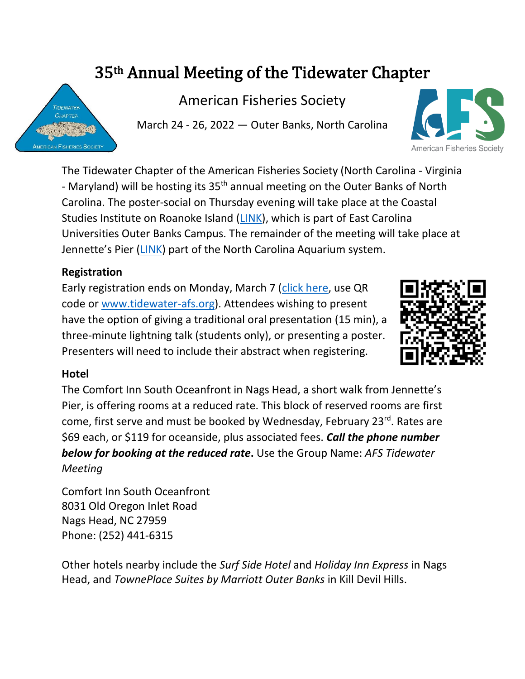# 35th Annual Meeting of the Tidewater Chapter

American Fisheries Society

March 24 - 26, 2022 — Outer Banks, North Carolina

The Tidewater Chapter of the American Fisheries Society (North Carolina - Virginia - Maryland) will be hosting its 35<sup>th</sup> annual meeting on the Outer Banks of North Carolina. The poster-social on Thursday evening will take place at the Coastal Studies Institute on Roanoke Island [\(LINK\)](https://www.coastalstudiesinstitute.org/), which is part of East Carolina Universities Outer Banks Campus. The remainder of the meeting will take place at Jennette's Pier [\(LINK\)](https://www.ncaquariums.com/jennettes-pier) part of the North Carolina Aquarium system.

## **Registration**

Early registration ends on Monday, March 7 [\(click here,](https://nam02.safelinks.protection.outlook.com/?url=https%3A%2F%2Ffs23.formsite.com%2FTidewater_AFS%2F2022EarlyRegistration%2Findex.html&data=04%7C01%7Cmorleyj19%40ecu.edu%7C85d1207f07f8451f616808d9db8812c6%7C17143cbb385c4c45a36ac65b72e3eae8%7C0%7C0%7C637782199772075462%7CUnknown%7CTWFpbGZsb3d8eyJWIjoiMC4wLjAwMDAiLCJQIjoiV2luMzIiLCJBTiI6Ik1haWwiLCJXVCI6Mn0%3D%7C3000&sdata=I7%2FM%2FsMea9KZxIFNDsx9Tu6mgy4L0NHbcOks8L99Czw%3D&reserved=0) use QR code or [www.tidewater-afs.org\)](http://www.tidewater-afs.org/). Attendees wishing to present have the option of giving a traditional oral presentation (15 min), a three-minute lightning talk (students only), or presenting a poster. Presenters will need to include their abstract when registering.

## **Hotel**

The Comfort Inn South Oceanfront in Nags Head, a short walk from Jennette's Pier, is offering rooms at a reduced rate. This block of reserved rooms are first come, first serve and must be booked by Wednesday, February 23<sup>rd</sup>. Rates are \$69 each, or \$119 for oceanside, plus associated fees. *Call the phone number below for booking at the reduced rate***.** Use the Group Name: *AFS Tidewater Meeting*

Comfort Inn South Oceanfront 8031 Old Oregon Inlet Road Nags Head, NC 27959 Phone: (252) 441-6315

Other hotels nearby include the *Surf Side Hotel* and *Holiday Inn Express* in Nags Head, and *TownePlace Suites by Marriott Outer Banks* in Kill Devil Hills.